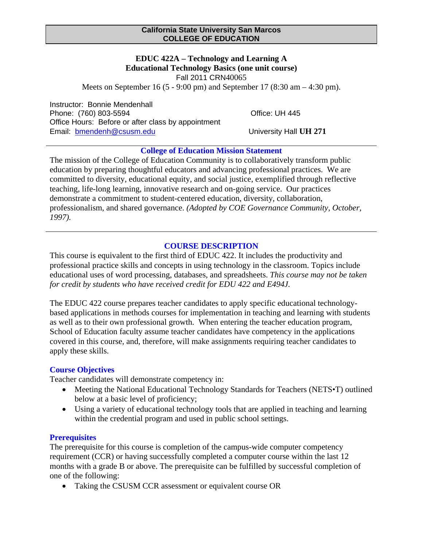# **EDUC 422A – Technology and Learning A Educational Technology Basics (one unit course)**

Fall 2011 CRN40065

Meets on September 16 (5 - 9:00 pm) and September 17 (8:30 am – 4:30 pm).

Email: **bmendenh@csusm.edu** University Hall UH 271 Instructor: Bonnie Mendenhall Phone: (760) 803-5594 Channel Control Control Control Control Control Control Control Control Control Control Control Control Control Control Control Control Control Control Control Control Control Control Control Control Office Hours: Before or after class by appointment

### **College of Education Mission Statement**

The mission of the College of Education Community is to collaboratively transform public education by preparing thoughtful educators and advancing professional practices. We are committed to diversity, educational equity, and social justice, exemplified through reflective teaching, life-long learning, innovative research and on-going service. Our practices demonstrate a commitment to student-centered education, diversity, collaboration, professionalism, and shared governance. *(Adopted by COE Governance Community, October, 1997).* 

# **COURSE DESCRIPTION**

This course is equivalent to the first third of EDUC 422. It includes the productivity and professional practice skills and concepts in using technology in the classroom. Topics include educational uses of word processing, databases, and spreadsheets. *This course may not be taken for credit by students who have received credit for EDU 422 and E494J.* 

The EDUC 422 course prepares teacher candidates to apply specific educational technologybased applications in methods courses for implementation in teaching and learning with students as well as to their own professional growth. When entering the teacher education program, School of Education faculty assume teacher candidates have competency in the applications covered in this course, and, therefore, will make assignments requiring teacher candidates to apply these skills.

# **Course Objectives**

Teacher candidates will demonstrate competency in:

- Meeting the National Educational Technology Standards for Teachers (NETS•T) outlined below at a basic level of proficiency;
- Using a variety of educational technology tools that are applied in teaching and learning within the credential program and used in public school settings.

# **Prerequisites**

The prerequisite for this course is completion of the campus-wide computer competency requirement (CCR) or having successfully completed a computer course within the last 12 months with a grade B or above. The prerequisite can be fulfilled by successful completion of one of the following:

• Taking the CSUSM CCR assessment or equivalent course OR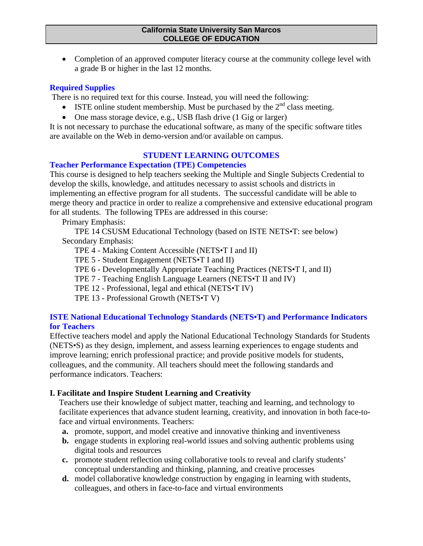• Completion of an approved computer literacy course at the community college level with a grade B or higher in the last 12 months.

# **Required Supplies**

There is no required text for this course. Instead, you will need the following:

- ISTE online student membership. Must be purchased by the  $2<sup>nd</sup>$  class meeting.
- One mass storage device, e.g., USB flash drive (1 Gig or larger)

It is not necessary to purchase the educational software, as many of the specific software titles are available on the Web in demo-version and/or available on campus.

# **STUDENT LEARNING OUTCOMES**

## **Teacher Performance Expectation (TPE) Competencies**

This course is designed to help teachers seeking the Multiple and Single Subjects Credential to develop the skills, knowledge, and attitudes necessary to assist schools and districts in implementing an effective program for all students. The successful candidate will be able to merge theory and practice in order to realize a comprehensive and extensive educational program for all students. The following TPEs are addressed in this course:

Primary Emphasis:

TPE 14 CSUSM Educational Technology (based on ISTE NETS•T: see below) Secondary Emphasis:

TPE 4 - Making Content Accessible (NETS•T I and II)

TPE 5 - Student Engagement (NETS•T I and II)

- TPE 6 Developmentally Appropriate Teaching Practices (NETS•T I, and II)
- TPE 7 Teaching English Language Learners (NETS•T II and IV)
- TPE 12 Professional, legal and ethical (NETS•T IV)
- TPE 13 Professional Growth (NETS•T V)

## **ISTE National Educational Technology Standards (NETS•T) and Performance Indicators for Teachers**

Effective teachers model and apply the National Educational Technology Standards for Students (NETS•S) as they design, implement, and assess learning experiences to engage students and improve learning; enrich professional practice; and provide positive models for students, colleagues, and the community. All teachers should meet the following standards and performance indicators. Teachers:

# **I. Facilitate and Inspire Student Learning and Creativity**

Teachers use their knowledge of subject matter, teaching and learning, and technology to facilitate experiences that advance student learning, creativity, and innovation in both face-toface and virtual environments. Teachers:

- **a.** promote, support, and model creative and innovative thinking and inventiveness
- **b.** engage students in exploring real-world issues and solving authentic problems using digital tools and resources
- **c.** promote student reflection using collaborative tools to reveal and clarify students' conceptual understanding and thinking, planning, and creative processes
- **d.** model collaborative knowledge construction by engaging in learning with students, colleagues, and others in face-to-face and virtual environments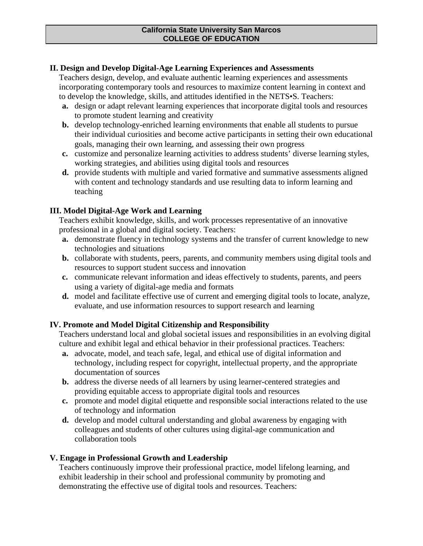# **II. Design and Develop Digital-Age Learning Experiences and Assessments**

Teachers design, develop, and evaluate authentic learning experiences and assessments incorporating contemporary tools and resources to maximize content learning in context and to develop the knowledge, skills, and attitudes identified in the NETS•S. Teachers:

- **a.** design or adapt relevant learning experiences that incorporate digital tools and resources to promote student learning and creativity
- **b.** develop technology-enriched learning environments that enable all students to pursue their individual curiosities and become active participants in setting their own educational goals, managing their own learning, and assessing their own progress
- **c.** customize and personalize learning activities to address students' diverse learning styles, working strategies, and abilities using digital tools and resources
- **d.** provide students with multiple and varied formative and summative assessments aligned with content and technology standards and use resulting data to inform learning and teaching

# **III. Model Digital-Age Work and Learning**

Teachers exhibit knowledge, skills, and work processes representative of an innovative professional in a global and digital society. Teachers:

- **a.** demonstrate fluency in technology systems and the transfer of current knowledge to new technologies and situations
- **b.** collaborate with students, peers, parents, and community members using digital tools and resources to support student success and innovation
- **c.** communicate relevant information and ideas effectively to students, parents, and peers using a variety of digital-age media and formats
- **d.** model and facilitate effective use of current and emerging digital tools to locate, analyze, evaluate, and use information resources to support research and learning

# **IV. Promote and Model Digital Citizenship and Responsibility**

Teachers understand local and global societal issues and responsibilities in an evolving digital culture and exhibit legal and ethical behavior in their professional practices. Teachers:

- **a.** advocate, model, and teach safe, legal, and ethical use of digital information and technology, including respect for copyright, intellectual property, and the appropriate documentation of sources
- **b.** address the diverse needs of all learners by using learner-centered strategies and providing equitable access to appropriate digital tools and resources
- **c.** promote and model digital etiquette and responsible social interactions related to the use of technology and information
- **d.** develop and model cultural understanding and global awareness by engaging with colleagues and students of other cultures using digital-age communication and collaboration tools

# **V. Engage in Professional Growth and Leadership**

Teachers continuously improve their professional practice, model lifelong learning, and exhibit leadership in their school and professional community by promoting and demonstrating the effective use of digital tools and resources. Teachers: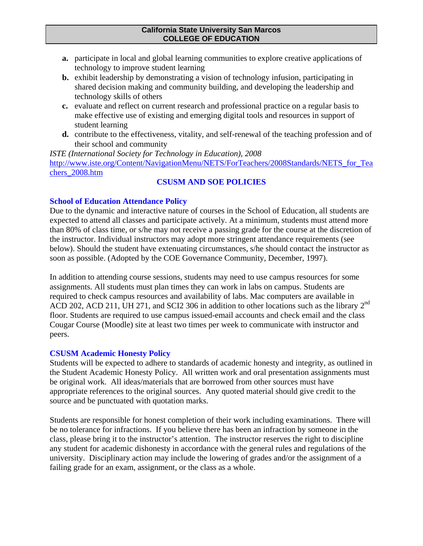- **a.** participate in local and global learning communities to explore creative applications of technology to improve student learning
- **b.** exhibit leadership by demonstrating a vision of technology infusion, participating in shared decision making and community building, and developing the leadership and technology skills of others
- **c.** evaluate and reflect on current research and professional practice on a regular basis to make effective use of existing and emerging digital tools and resources in support of student learning
- **d.** contribute to the effectiveness, vitality, and self-renewal of the teaching profession and of their school and community

*ISTE (International Society for Technology in Education), 2008*  http://www.iste.org/Content/NavigationMenu/NETS/ForTeachers/2008Standards/NETS\_for\_Tea chers\_2008.htm

# **CSUSM AND SOE POLICIES**

# **School of Education Attendance Policy**

Due to the dynamic and interactive nature of courses in the School of Education, all students are expected to attend all classes and participate actively. At a minimum, students must attend more than 80% of class time, or s/he may not receive a passing grade for the course at the discretion of the instructor. Individual instructors may adopt more stringent attendance requirements (see below). Should the student have extenuating circumstances, s/he should contact the instructor as soon as possible. (Adopted by the COE Governance Community, December, 1997).

In addition to attending course sessions, students may need to use campus resources for some assignments. All students must plan times they can work in labs on campus. Students are required to check campus resources and availability of labs. Mac computers are available in ACD 202, ACD 211, UH 271, and SCI2 306 in addition to other locations such as the library 2<sup>nd</sup> floor. Students are required to use campus issued-email accounts and check email and the class Cougar Course (Moodle) site at least two times per week to communicate with instructor and peers.

# **CSUSM Academic Honesty Policy**

Students will be expected to adhere to standards of academic honesty and integrity, as outlined in the Student Academic Honesty Policy. All written work and oral presentation assignments must be original work. All ideas/materials that are borrowed from other sources must have appropriate references to the original sources. Any quoted material should give credit to the source and be punctuated with quotation marks.

Students are responsible for honest completion of their work including examinations. There will be no tolerance for infractions. If you believe there has been an infraction by someone in the class, please bring it to the instructor's attention. The instructor reserves the right to discipline any student for academic dishonesty in accordance with the general rules and regulations of the university. Disciplinary action may include the lowering of grades and/or the assignment of a failing grade for an exam, assignment, or the class as a whole.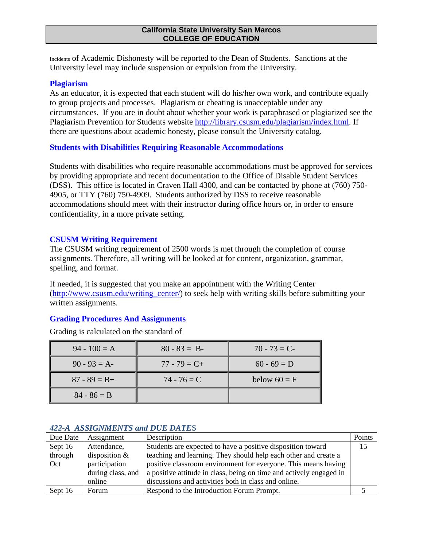Incidents of Academic Dishonesty will be reported to the Dean of Students. Sanctions at the University level may include suspension or expulsion from the University.

### **Plagiarism**

As an educator, it is expected that each student will do his/her own work, and contribute equally to group projects and processes. Plagiarism or cheating is unacceptable under any circumstances. If you are in doubt about whether your work is paraphrased or plagiarized see the Plagiarism Prevention for Students website http://library.csusm.edu/plagiarism/index.html. If there are questions about academic honesty, please consult the University catalog.

## **Students with Disabilities Requiring Reasonable Accommodations**

Students with disabilities who require reasonable accommodations must be approved for services by providing appropriate and recent documentation to the Office of Disable Student Services (DSS). This office is located in Craven Hall 4300, and can be contacted by phone at (760) 750- 4905, or TTY (760) 750-4909. Students authorized by DSS to receive reasonable accommodations should meet with their instructor during office hours or, in order to ensure confidentiality, in a more private setting.

# **CSUSM Writing Requirement**

The CSUSM writing requirement of 2500 words is met through the completion of course assignments. Therefore, all writing will be looked at for content, organization, grammar, spelling, and format.

If needed, it is suggested that you make an appointment with the Writing Center (http://www.csusm.edu/writing\_center/) to seek help with writing skills before submitting your written assignments.

# **Grading Procedures And Assignments**

Grading is calculated on the standard of

| $94 - 100 = A$  | $80 - 83 = B$   | $70 - 73 = C$  |
|-----------------|-----------------|----------------|
| $90 - 93 = A$   | $77 - 79 = C +$ | $60 - 69 = D$  |
| $87 - 89 = B +$ | $74 - 76 = C$   | below $60 = F$ |
| $84 - 86 = B$   |                 |                |

| Due Date | Assignment                | Description                                                         | Points |
|----------|---------------------------|---------------------------------------------------------------------|--------|
| Sept 16  | Attendance,               | Students are expected to have a positive disposition toward         | 15     |
| through  | disposition $&$           | teaching and learning. They should help each other and create a     |        |
| Oct      | participation             | positive classroom environment for everyone. This means having      |        |
|          | during class, and $\vert$ | a positive attitude in class, being on time and actively engaged in |        |
|          | online                    | discussions and activities both in class and online.                |        |
| Sept 16  | Forum                     | Respond to the Introduction Forum Prompt.                           |        |

### *422-A ASSIGNMENTS and DUE DATE*S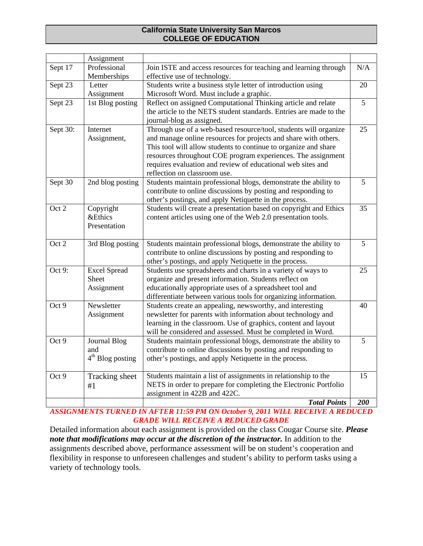|                      | Assignment                                                                       |                                                                                                                              |     |
|----------------------|----------------------------------------------------------------------------------|------------------------------------------------------------------------------------------------------------------------------|-----|
| Sept 17              | Join ISTE and access resources for teaching and learning through<br>Professional |                                                                                                                              | N/A |
|                      | Memberships                                                                      | effective use of technology.                                                                                                 |     |
| Sept $2\overline{3}$ | Letter                                                                           | Students write a business style letter of introduction using                                                                 | 20  |
|                      | Assignment                                                                       | Microsoft Word. Must include a graphic.                                                                                      |     |
| Sept 23              | 1st Blog posting                                                                 | Reflect on assigned Computational Thinking article and relate                                                                | 5   |
|                      |                                                                                  | the article to the NETS student standards. Entries are made to the                                                           |     |
|                      |                                                                                  | journal-blog as assigned.                                                                                                    |     |
| Sept 30:             | Internet                                                                         | Through use of a web-based resource/tool, students will organize                                                             | 25  |
|                      | Assignment,                                                                      | and manage online resources for projects and share with others.                                                              |     |
|                      |                                                                                  | This tool will allow students to continue to organize and share                                                              |     |
|                      |                                                                                  | resources throughout COE program experiences. The assignment                                                                 |     |
|                      |                                                                                  | requires evaluation and review of educational web sites and                                                                  |     |
|                      |                                                                                  | reflection on classroom use.                                                                                                 |     |
| Sept 30              | 2nd blog posting                                                                 | Students maintain professional blogs, demonstrate the ability to                                                             | 5   |
|                      |                                                                                  | contribute to online discussions by posting and responding to                                                                |     |
|                      |                                                                                  | other's postings, and apply Netiquette in the process.                                                                       |     |
| Oct 2                | Copyright                                                                        | Students will create a presentation based on copyright and Ethics                                                            | 35  |
|                      | &Ethics                                                                          | content articles using one of the Web 2.0 presentation tools.                                                                |     |
|                      | Presentation                                                                     |                                                                                                                              |     |
|                      |                                                                                  |                                                                                                                              |     |
| Oct 2                | 3rd Blog posting                                                                 | Students maintain professional blogs, demonstrate the ability to                                                             | 5   |
|                      |                                                                                  | contribute to online discussions by posting and responding to                                                                |     |
|                      |                                                                                  | other's postings, and apply Netiquette in the process.                                                                       |     |
| Oct 9:               | <b>Excel Spread</b>                                                              | Students use spreadsheets and charts in a variety of ways to                                                                 | 25  |
|                      | <b>Sheet</b>                                                                     | organize and present information. Students reflect on                                                                        |     |
|                      | Assignment                                                                       | educationally appropriate uses of a spreadsheet tool and                                                                     |     |
| Oct 9                | Newsletter                                                                       | differentiate between various tools for organizing information.<br>Students create an appealing, newsworthy, and interesting | 40  |
|                      | Assignment                                                                       | newsletter for parents with information about technology and                                                                 |     |
|                      |                                                                                  | learning in the classroom. Use of graphics, content and layout                                                               |     |
|                      |                                                                                  | will be considered and assessed. Must be completed in Word.                                                                  |     |
| Oct 9                | <b>Journal Blog</b>                                                              | Students maintain professional blogs, demonstrate the ability to                                                             | 5   |
|                      | and                                                                              | contribute to online discussions by posting and responding to                                                                |     |
|                      | $4th$ Blog posting                                                               | other's postings, and apply Netiquette in the process.                                                                       |     |
|                      |                                                                                  |                                                                                                                              |     |
| Oct 9                | Tracking sheet                                                                   | Students maintain a list of assignments in relationship to the                                                               | 15  |
|                      | #1                                                                               | NETS in order to prepare for completing the Electronic Portfolio                                                             |     |
|                      |                                                                                  | assignment in 422B and 422C.                                                                                                 |     |
|                      |                                                                                  | <b>Total Points</b>                                                                                                          | 200 |

*ASSIGNMENTS TURNED IN AFTER 11:59 PM ON October 9, 2011 WILL RECEIVE A REDUCED GRADE WILL RECEIVE A REDUCED GRADE* 

Detailed information about each assignment is provided on the class Cougar Course site. *Please note that modifications may occur at the discretion of the instructor.* In addition to the assignments described above, performance assessment will be on student's cooperation and flexibility in response to unforeseen challenges and student's ability to perform tasks using a variety of technology tools.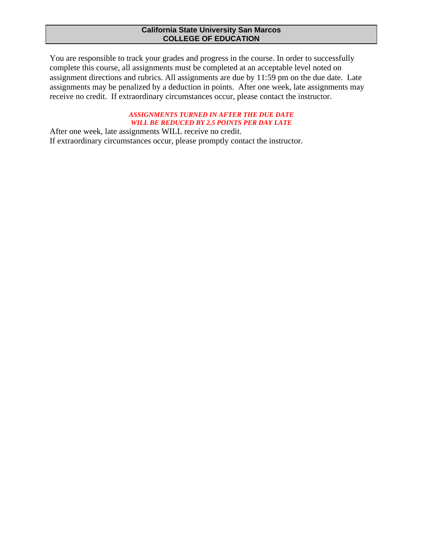You are responsible to track your grades and progress in the course. In order to successfully complete this course, all assignments must be completed at an acceptable level noted on assignment directions and rubrics. All assignments are due by 11:59 pm on the due date. Late assignments may be penalized by a deduction in points. After one week, late assignments may receive no credit. If extraordinary circumstances occur, please contact the instructor.

### *ASSIGNMENTS TURNED IN AFTER THE DUE DATE WILL BE REDUCED BY 2.5 POINTS PER DAY LATE*

After one week, late assignments WILL receive no credit. If extraordinary circumstances occur, please promptly contact the instructor.